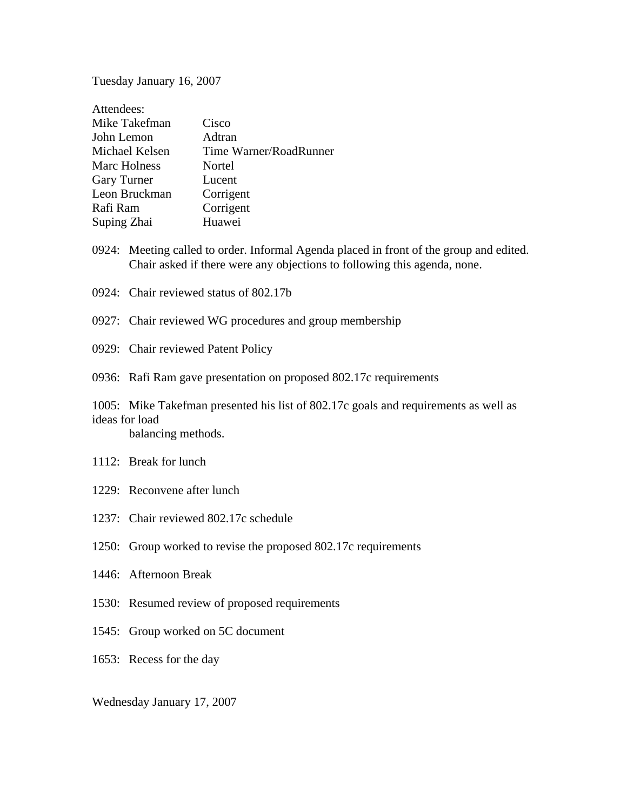Tuesday January 16, 2007

| Cisco                  |
|------------------------|
| Adtran                 |
| Time Warner/RoadRunner |
| Nortel                 |
| Lucent                 |
| Corrigent              |
| Corrigent              |
| Huawei                 |
|                        |

- 0924: Meeting called to order. Informal Agenda placed in front of the group and edited. Chair asked if there were any objections to following this agenda, none.
- 0924: Chair reviewed status of 802.17b
- 0927: Chair reviewed WG procedures and group membership
- 0929: Chair reviewed Patent Policy
- 0936: Rafi Ram gave presentation on proposed 802.17c requirements

1005: Mike Takefman presented his list of 802.17c goals and requirements as well as ideas for load balancing methods.

- 1112: Break for lunch
- 1229: Reconvene after lunch
- 1237: Chair reviewed 802.17c schedule
- 1250: Group worked to revise the proposed 802.17c requirements
- 1446: Afternoon Break
- 1530: Resumed review of proposed requirements
- 1545: Group worked on 5C document
- 1653: Recess for the day

Wednesday January 17, 2007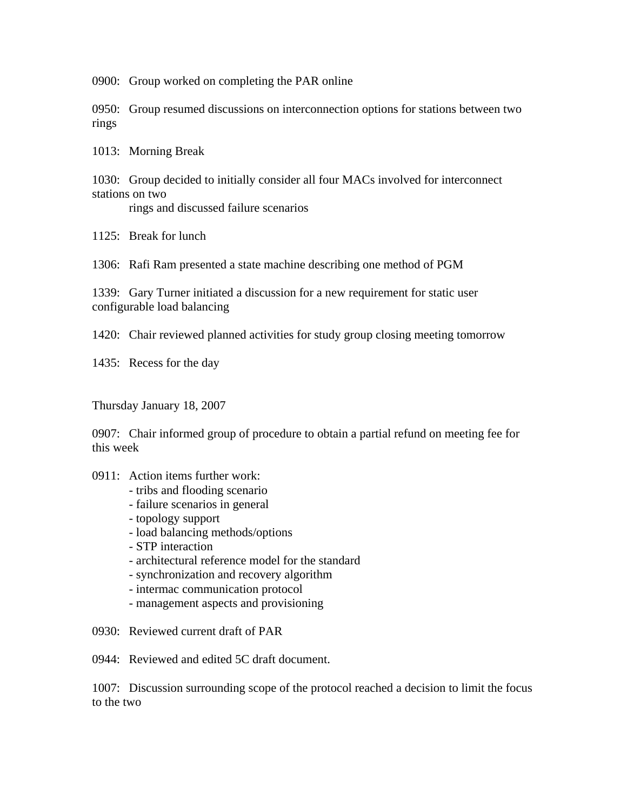0900: Group worked on completing the PAR online

0950: Group resumed discussions on interconnection options for stations between two rings

1013: Morning Break

1030: Group decided to initially consider all four MACs involved for interconnect stations on two

rings and discussed failure scenarios

1125: Break for lunch

1306: Rafi Ram presented a state machine describing one method of PGM

1339: Gary Turner initiated a discussion for a new requirement for static user configurable load balancing

1420: Chair reviewed planned activities for study group closing meeting tomorrow

1435: Recess for the day

Thursday January 18, 2007

0907: Chair informed group of procedure to obtain a partial refund on meeting fee for this week

- 0911: Action items further work:
	- tribs and flooding scenario
	- failure scenarios in general
	- topology support
	- load balancing methods/options
	- STP interaction
	- architectural reference model for the standard
	- synchronization and recovery algorithm
	- intermac communication protocol
	- management aspects and provisioning
- 0930: Reviewed current draft of PAR

0944: Reviewed and edited 5C draft document.

1007: Discussion surrounding scope of the protocol reached a decision to limit the focus to the two